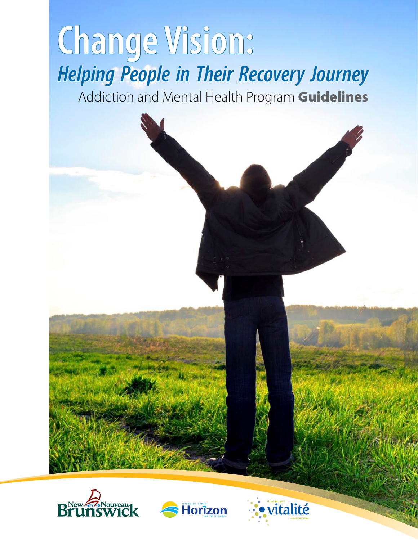# **Change Vision:** *Helping People in Their Recovery Journey*

Addiction and Mental Health Program Guidelines







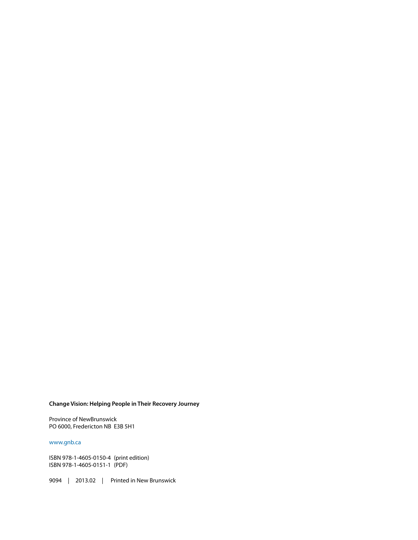#### **Change Vision: Helping People in Their Recovery Journey**

Province of NewBrunswick PO 6000, Fredericton NB E3B 5H1

#### [www.gnb.ca](http://www.gnb.ca)

ISBN 978-1-4605-0150-4 (print edition) ISBN 978-1-4605-0151-1 (PDF)

9094 | 2013.02 | Printed in New Brunswick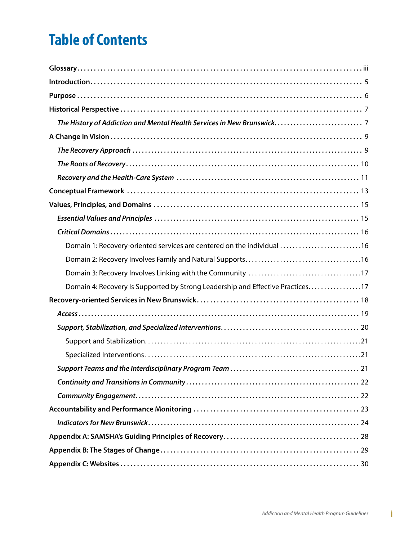## **Table of Contents**

| Domain 1: Recovery-oriented services are centered on the individual 16         |
|--------------------------------------------------------------------------------|
|                                                                                |
|                                                                                |
| Domain 4: Recovery Is Supported by Strong Leadership and Effective Practices17 |
|                                                                                |
|                                                                                |
|                                                                                |
|                                                                                |
|                                                                                |
|                                                                                |
|                                                                                |
|                                                                                |
|                                                                                |
|                                                                                |
|                                                                                |
|                                                                                |
|                                                                                |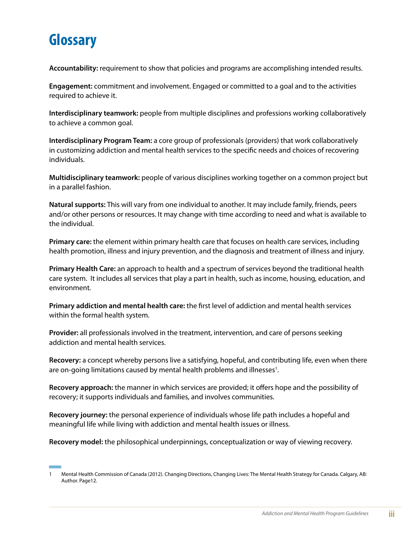## <span id="page-4-0"></span>**Glossary**

**Accountability:** requirement to show that policies and programs are accomplishing intended results.

**Engagement:** commitment and involvement. Engaged or committed to a goal and to the activities required to achieve it.

**Interdisciplinary teamwork:** people from multiple disciplines and professions working collaboratively to achieve a common goal.

**Interdisciplinary Program Team:** a core group of professionals (providers) that work collaboratively in customizing addiction and mental health services to the specific needs and choices of recovering individuals.

**Multidisciplinary teamwork:** people of various disciplines working together on a common project but in a parallel fashion.

**Natural supports:** This will vary from one individual to another. It may include family, friends, peers and/or other persons or resources. It may change with time according to need and what is available to the individual.

**Primary care:** the element within primary health care that focuses on health care services, including health promotion, illness and injury prevention, and the diagnosis and treatment of illness and injury.

**Primary Health Care:** an approach to health and a spectrum of services beyond the traditional health care system. It includes all services that play a part in health, such as income, housing, education, and environment.

**Primary addiction and mental health care:** the first level of addiction and mental health services within the formal health system.

**Provider:** all professionals involved in the treatment, intervention, and care of persons seeking addiction and mental health services.

**Recovery:** a concept whereby persons live a satisfying, hopeful, and contributing life, even when there are on-going limitations caused by mental health problems and illnesses<sup>1</sup>.

**Recovery approach:** the manner in which services are provided; it offers hope and the possibility of recovery; it supports individuals and families, and involves communities.

**Recovery journey:** the personal experience of individuals whose life path includes a hopeful and meaningful life while living with addiction and mental health issues or illness.

**Recovery model:** the philosophical underpinnings, conceptualization or way of viewing recovery.

<sup>1</sup> Mental Health Commission of Canada (2012). Changing Directions, Changing Lives: The Mental Health Strategy for Canada. Calgary, AB: Author. Page12.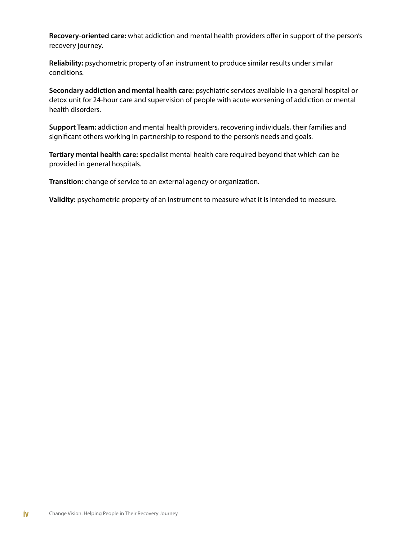**Recovery-oriented care:** what addiction and mental health providers offer in support of the person's recovery journey.

**Reliability:** psychometric property of an instrument to produce similar results under similar conditions.

**Secondary addiction and mental health care:** psychiatric services available in a general hospital or detox unit for 24-hour care and supervision of people with acute worsening of addiction or mental health disorders.

**Support Team:** addiction and mental health providers, recovering individuals, their families and significant others working in partnership to respond to the person's needs and goals.

**Tertiary mental health care:** specialist mental health care required beyond that which can be provided in general hospitals.

**Transition:** change of service to an external agency or organization.

**Validity:** psychometric property of an instrument to measure what it is intended to measure.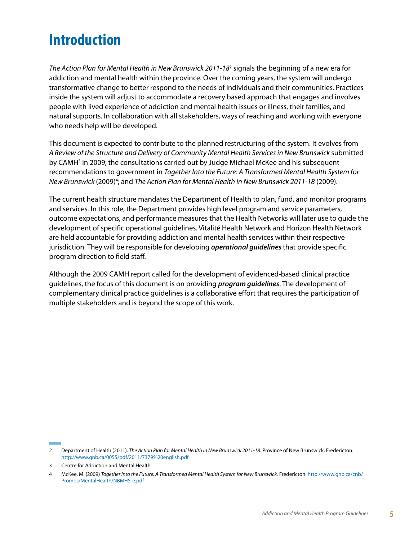## <span id="page-6-0"></span>**Introduction**

*The Action Plan for Mental Health in New Brunswick 2011-18*<sup>2</sup> signals the beginning of a new era for addiction and mental health within the province. Over the coming years, the system will undergo transformative change to better respond to the needs of individuals and their communities. Practices inside the system will adjust to accommodate a recovery based approach that engages and involves people with lived experience of addiction and mental health issues or illness, their families, and natural supports. In collaboration with all stakeholders, ways of reaching and working with everyone who needs help will be developed.

This document is expected to contribute to the planned restructuring of the system. It evolves from *A Review of the Structure and Delivery of Community Mental Health Services in New Brunswick* submitted by CAMH<sup>3</sup> in 2009; the consultations carried out by Judge Michael McKee and his subsequent recommendations to government in *Together Into the Future: A Transformed Mental Health System for*  New Brunswick (2009)<sup>4</sup>; and The Action Plan for Mental Health in New Brunswick 2011-18 (2009).

The current health structure mandates the Department of Health to plan, fund, and monitor programs and services. In this role, the Department provides high level program and service parameters, outcome expectations, and performance measures that the Health Networks will later use to guide the development of specific operational guidelines. Vitalité Health Network and Horizon Health Network are held accountable for providing addiction and mental health services within their respective jurisdiction. They will be responsible for developing *operational guidelines* that provide specific program direction to field staff.

Although the 2009 CAMH report called for the development of evidenced-based clinical practice guidelines, the focus of this document is on providing *program guidelines*. The development of complementary clinical practice guidelines is a collaborative effort that requires the participation of multiple stakeholders and is beyond the scope of this work.

2 Department of Health (2011). *The Action Plan for Mental Health in New Brunswick 2011-18.* Province of New Brunswick, Fredericton. [http://www.gnb.ca/0055/pdf/2011/7379%20english.pdf](http://www.gnb.ca/0055/pdf/2011/7379 english.pdf)

<sup>3</sup> Centre for Addiction and Mental Health

<sup>4</sup> McKee, M. (2009) *Together Into the Future: A Transformed Mental Health System for New Brunswick.* Fredericton. [http://www.gnb.ca/cnb/](http://www.gnb.ca/cnb/Promos/MentalHealth/NBMHS-e.pdf) [Promos/MentalHealth/NBMHS-e.pdf](http://www.gnb.ca/cnb/Promos/MentalHealth/NBMHS-e.pdf)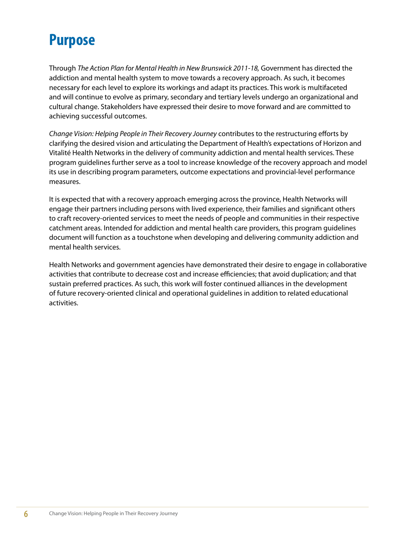## <span id="page-7-0"></span>**Purpose**

Through *The Action Plan for Mental Health in New Brunswick 2011-18,* Government has directed the addiction and mental health system to move towards a recovery approach. As such, it becomes necessary for each level to explore its workings and adapt its practices. This work is multifaceted and will continue to evolve as primary, secondary and tertiary levels undergo an organizational and cultural change. Stakeholders have expressed their desire to move forward and are committed to achieving successful outcomes.

*Change Vision: Helping People in Their Recovery Journey* contributes to the restructuring efforts by clarifying the desired vision and articulating the Department of Health's expectations of Horizon and Vitalité Health Networks in the delivery of community addiction and mental health services. These program guidelines further serve as a tool to increase knowledge of the recovery approach and model its use in describing program parameters, outcome expectations and provincial-level performance measures.

It is expected that with a recovery approach emerging across the province, Health Networks will engage their partners including persons with lived experience, their families and significant others to craft recovery-oriented services to meet the needs of people and communities in their respective catchment areas. Intended for addiction and mental health care providers, this program guidelines document will function as a touchstone when developing and delivering community addiction and mental health services.

Health Networks and government agencies have demonstrated their desire to engage in collaborative activities that contribute to decrease cost and increase efficiencies; that avoid duplication; and that sustain preferred practices. As such, this work will foster continued alliances in the development of future recovery-oriented clinical and operational guidelines in addition to related educational activities.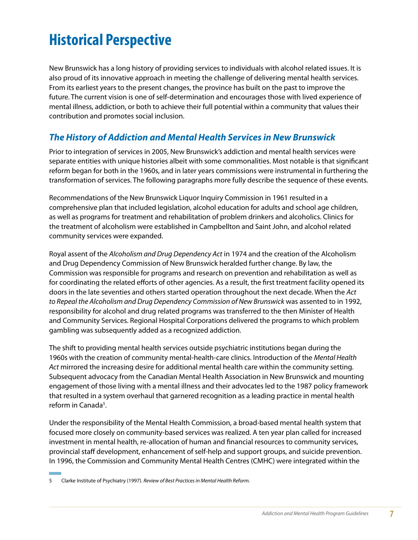## <span id="page-8-0"></span>**Historical Perspective**

New Brunswick has a long history of providing services to individuals with alcohol related issues. It is also proud of its innovative approach in meeting the challenge of delivering mental health services. From its earliest years to the present changes, the province has built on the past to improve the future. The current vision is one of self-determination and encourages those with lived experience of mental illness, addiction, or both to achieve their full potential within a community that values their contribution and promotes social inclusion.

### *The History of Addiction and Mental Health Services in New Brunswick*

Prior to integration of services in 2005, New Brunswick's addiction and mental health services were separate entities with unique histories albeit with some commonalities. Most notable is that significant reform began for both in the 1960s, and in later years commissions were instrumental in furthering the transformation of services. The following paragraphs more fully describe the sequence of these events.

Recommendations of the New Brunswick Liquor Inquiry Commission in 1961 resulted in a comprehensive plan that included legislation, alcohol education for adults and school age children, as well as programs for treatment and rehabilitation of problem drinkers and alcoholics. Clinics for the treatment of alcoholism were established in Campbellton and Saint John, and alcohol related community services were expanded.

Royal assent of the *Alcoholism and Drug Dependency Act* in 1974 and the creation of the Alcoholism and Drug Dependency Commission of New Brunswick heralded further change. By law, the Commission was responsible for programs and research on prevention and rehabilitation as well as for coordinating the related efforts of other agencies. As a result, the first treatment facility opened its doors in the late seventies and others started operation throughout the next decade. When the *Act to Repeal the Alcoholism and Drug Dependency Commission of New Brunswick* was assented to in 1992, responsibility for alcohol and drug related programs was transferred to the then Minister of Health and Community Services. Regional Hospital Corporations delivered the programs to which problem gambling was subsequently added as a recognized addiction.

The shift to providing mental health services outside psychiatric institutions began during the 1960s with the creation of community mental-health-care clinics. Introduction of the *Mental Health Act* mirrored the increasing desire for additional mental health care within the community setting. Subsequent advocacy from the Canadian Mental Health Association in New Brunswick and mounting engagement of those living with a mental illness and their advocates led to the 1987 policy framework that resulted in a system overhaul that garnered recognition as a leading practice in mental health reform in Canada<sup>5</sup>.

Under the responsibility of the Mental Health Commission, a broad-based mental health system that focused more closely on community-based services was realized. A ten year plan called for increased investment in mental health, re-allocation of human and financial resources to community services, provincial staff development, enhancement of self-help and support groups, and suicide prevention. In 1996, the Commission and Community Mental Health Centres (CMHC) were integrated within the

<sup>5</sup> Clarke Institute of Psychiatry (1997). *Review of Best Practices in Mental Health Reform.*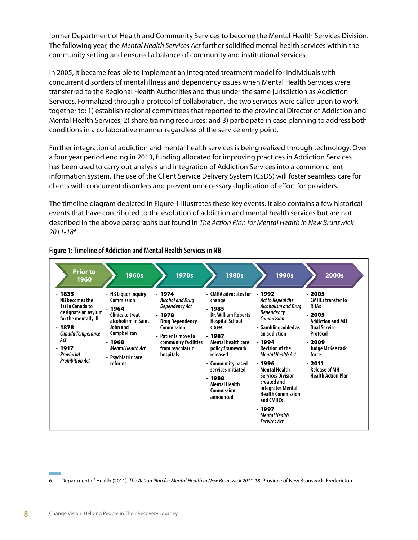former Department of Health and Community Services to become the Mental Health Services Division. The following year, the *Mental Health Services Act* further solidified mental health services within the community setting and ensured a balance of community and institutional services.

In 2005, it became feasible to implement an integrated treatment model for individuals with concurrent disorders of mental illness and dependency issues when Mental Health Services were transferred to the Regional Health Authorities and thus under the same jurisdiction as Addiction Services. Formalized through a protocol of collaboration, the two services were called upon to work together to: 1) establish regional committees that reported to the provincial Director of Addiction and Mental Health Services; 2) share training resources; and 3) participate in case planning to address both conditions in a collaborative manner regardless of the service entry point.

Further integration of addiction and mental health services is being realized through technology. Over a four year period ending in 2013, funding allocated for improving practices in Addiction Services has been used to carry out analysis and integration of Addiction Services into a common client information system. The use of the Client Service Delivery System (CSDS) will foster seamless care for clients with concurrent disorders and prevent unnecessary duplication of effort for providers.

The timeline diagram depicted in Figure 1 illustrates these key events. It also contains a few historical events that have contributed to the evolution of addiction and mental health services but are not described in the above paragraphs but found in *The Action Plan for Mental Health in New Brunswick 2011-18*<sup>6</sup> .



#### **Figure 1: Timeline of Addiction and Mental Health Services in NB**

6 Department of Health (2011). *The Action Plan for Mental Health in New Brunswick 2011-18.* Province of New Brunswick, Fredericton.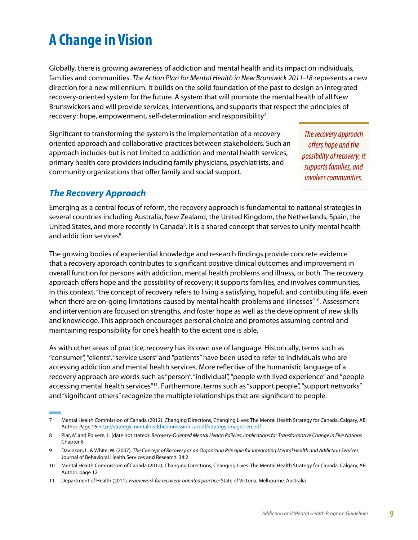## <span id="page-10-0"></span>**A Change in Vision**

Globally, there is growing awareness of addiction and mental health and its impact on individuals, families and communities. *The Action Plan for Mental Health in New Brunswick 2011-18* represents a new direction for a new millennium. It builds on the solid foundation of the past to design an integrated recovery-oriented system for the future. A system that will promote the mental health of all New Brunswickers and will provide services, interventions, and supports that respect the principles of recovery: hope, empowerment, self-determination and responsibility<sup>7</sup>.

Significant to transforming the system is the implementation of a recoveryoriented approach and collaborative practices between stakeholders. Such an approach includes but is not limited to addiction and mental health services, primary health care providers including family physicians, psychiatrists, and community organizations that offer family and social support.

*The recovery approach offers hope and the possibility of recovery; it supports families, and involves communities.*

### *The Recovery Approach*

Emerging as a central focus of reform, the recovery approach is fundamental to national strategies in several countries including Australia, New Zealand, the United Kingdom, the Netherlands, Spain, the United States, and more recently in Canada<sup>8</sup>. It is a shared concept that serves to unify mental health and addiction services<sup>9</sup>.

The growing bodies of experiential knowledge and research findings provide concrete evidence that a recovery approach contributes to significant positive clinical outcomes and improvement in overall function for persons with addiction, mental health problems and illness, or both. The recovery approach offers hope and the possibility of recovery; it supports families, and involves communities. In this context, "the concept of recovery refers to living a satisfying, hopeful, and contributing life, even when there are on-going limitations caused by mental health problems and illnesses"<sup>10</sup>. Assessment and intervention are focused on strengths, and foster hope as well as the development of new skills and knowledge. This approach encourages personal choice and promotes assuming control and maintaining responsibility for one's health to the extent one is able.

As with other areas of practice, recovery has its own use of language. Historically, terms such as "consumer", "clients", "service users" and "patients" have been used to refer to individuals who are accessing addiction and mental health services. More reflective of the humanistic language of a recovery approach are words such as "person", "individual", "people with lived experience" and "people accessing mental health services"<sup>11</sup>. Furthermore, terms such as "support people", "support networks" and "significant others" recognize the multiple relationships that are significant to people.

<sup>7</sup> Mental Health Commission of Canada (2012). Changing Directions, Changing Lives: The Mental Health Strategy for Canada. Calgary, AB: Author. Page 16<http://strategy.mentalhealthcommission.ca/pdf/strategy-images-en.pdf>

<sup>8</sup> Piat, M and Polvere, L. (date not stated). *Recovery-Oriented Mental Health Policies: Implications for Transformative Change in Five Nations*  Chapter 6

<sup>9</sup> Davidson, L. & White, W. (2007). *The Concept of Recovery as an Organizing Principle for Integrating Mental Health and Addiction Services.*  Journal of Behavioral Health Services and Research. 34:2

<sup>10</sup> Mental Health Commission of Canada (2012). Changing Directions, Changing Lives: The Mental Health Strategy for Canada. Calgary, AB: Author. page 12

<sup>11</sup> Department of Health (2011). *Framework for recovery-oriented practice:* State of Victoria, Melbourne, Australia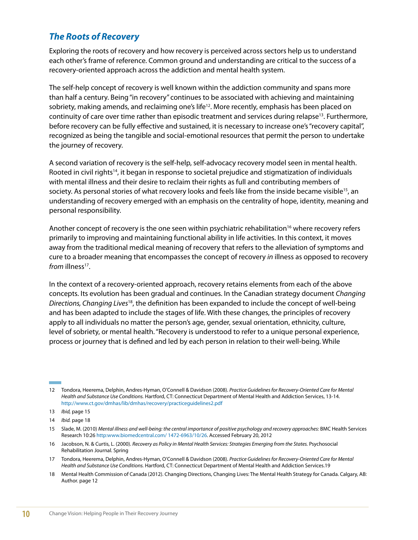### <span id="page-11-0"></span>*The Roots of Recovery*

Exploring the roots of recovery and how recovery is perceived across sectors help us to understand each other's frame of reference. Common ground and understanding are critical to the success of a recovery-oriented approach across the addiction and mental health system.

The self-help concept of recovery is well known within the addiction community and spans more than half a century. Being "in recovery" continues to be associated with achieving and maintaining sobriety, making amends, and reclaiming one's life<sup>12</sup>. More recently, emphasis has been placed on continuity of care over time rather than episodic treatment and services during relapse13. Furthermore, before recovery can be fully effective and sustained, it is necessary to increase one's "recovery capital", recognized as being the tangible and social-emotional resources that permit the person to undertake the journey of recovery.

A second variation of recovery is the self-help, self-advocacy recovery model seen in mental health. Rooted in civil rights<sup>14</sup>, it began in response to societal prejudice and stigmatization of individuals with mental illness and their desire to reclaim their rights as full and contributing members of society. As personal stories of what recovery looks and feels like from the inside became visible<sup>15</sup>, an understanding of recovery emerged with an emphasis on the centrality of hope, identity, meaning and personal responsibility.

Another concept of recovery is the one seen within psychiatric rehabilitation<sup>16</sup> where recovery refers primarily to improving and maintaining functional ability in life activities. In this context, it moves away from the traditional medical meaning of recovery that refers to the alleviation of symptoms and cure to a broader meaning that encompasses the concept of recovery *in* illness as opposed to recovery *from* illness<sup>17</sup>.

In the context of a recovery-oriented approach, recovery retains elements from each of the above concepts. Its evolution has been gradual and continues. In the Canadian strategy document *Changing Directions, Changing Lives*18, the definition has been expanded to include the concept of well-being and has been adapted to include the stages of life. With these changes, the principles of recovery apply to all individuals no matter the person's age, gender, sexual orientation, ethnicity, culture, level of sobriety, or mental health. "Recovery is understood to refer to a unique personal experience, process or journey that is defined and led by each person in relation to their well-being. While

18 Mental Health Commission of Canada (2012). Changing Directions, Changing Lives: The Mental Health Strategy for Canada. Calgary, AB: Author. page 12

<sup>12</sup> Tondora, Heerema, Delphin, Andres-Hyman, O'Connell & Davidson (2008). *Practice Guidelines for Recovery-Oriented Care for Mental Health and Substance Use Conditions.* Hartford, CT: Connecticut Department of Mental Health and Addiction Services, 13-14. <http://www.ct.gov/dmhas/lib/dmhas/recovery/practiceguidelines2.pdf>

<sup>13</sup> *Ibid,* page 15

<sup>14</sup> *Ibid.* page 18

<sup>15</sup> Slade, M. (2010) *Mental illness and well-being: the central importance of positive psychology and recovery approaches:* BMC Health Services Research 10:26 [http:www.biomedcentral.com/ 1472-6963/10/26](file:///U:\A MENTAL HEALTH). Accessed February 20, 2012

<sup>16</sup> Jacobson, N. & Curtis, L. (2000). *Recovery as Policy in Mental Health Services: Strategies Emerging from the States.* Psychosocial Rehabilitation Journal. Spring

<sup>17</sup> Tondora, Heerema, Delphin, Andres-Hyman, O'Connell & Davidson (2008). *Practice Guidelines for Recovery-Oriented Care for Mental Health and Substance Use Conditions.* Hartford, CT: Connecticut Department of Mental Health and Addiction Services.19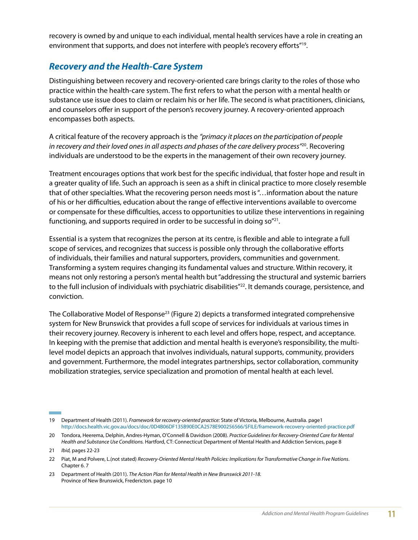<span id="page-12-0"></span>recovery is owned by and unique to each individual, mental health services have a role in creating an environment that supports, and does not interfere with people's recovery efforts"19.

### *Recovery and the Health-Care System*

Distinguishing between recovery and recovery-oriented care brings clarity to the roles of those who practice within the health-care system. The first refers to what the person with a mental health or substance use issue does to claim or reclaim his or her life. The second is what practitioners, clinicians, and counselors offer in support of the person's recovery journey. A recovery-oriented approach encompasses both aspects.

A critical feature of the recovery approach is the *"primacy it places on the participation of people in recovery and their loved ones in all aspects and phases of the care delivery process"*20. Recovering individuals are understood to be the experts in the management of their own recovery journey.

Treatment encourages options that work best for the specific individual, that foster hope and result in a greater quality of life. Such an approach is seen as a shift in clinical practice to more closely resemble that of other specialties. What the recovering person needs most is "…information about the nature of his or her difficulties, education about the range of effective interventions available to overcome or compensate for these difficulties, access to opportunities to utilize these interventions in regaining functioning, and supports required in order to be successful in doing so<sup>"21</sup>.

Essential is a system that recognizes the person at its centre, is flexible and able to integrate a full scope of services, and recognizes that success is possible only through the collaborative efforts of individuals, their families and natural supporters, providers, communities and government. Transforming a system requires changing its fundamental values and structure. Within recovery, it means not only restoring a person's mental health but "addressing the structural and systemic barriers to the full inclusion of individuals with psychiatric disabilities"<sup>22</sup>. It demands courage, persistence, and conviction.

The Collaborative Model of Response<sup>23</sup> (Figure 2) depicts a transformed integrated comprehensive system for New Brunswick that provides a full scope of services for individuals at various times in their recovery journey. Recovery is inherent to each level and offers hope, respect, and acceptance. In keeping with the premise that addiction and mental health is everyone's responsibility, the multilevel model depicts an approach that involves individuals, natural supports, community, providers and government. Furthermore, the model integrates partnerships, sector collaboration, community mobilization strategies, service specialization and promotion of mental health at each level.

<sup>19</sup> Department of Health (2011). *Framework for recovery-oriented practice:* State of Victoria, Melbourne, Australia. page1 [http://docs.health.vic.gov.au/docs/doc/0D4B06DF135B90E0CA2578E900256566/\\$FILE/framework-recovery-oriented-practice.pdf](http://docs.health.vic.gov.au/docs/doc/0D4B06DF135B90E0CA2578E900256566/$FILE/framework-recovery-oriented-practice.pdf)

<sup>20</sup> Tondora, Heerema, Delphin, Andres-Hyman, O'Connell & Davidson (2008). *Practice Guidelines for Recovery-Oriented Care for Mental Health and Substance Use Conditions.* Hartford, CT: Connecticut Department of Mental Health and Addiction Services, page 8

<sup>21</sup> *Ibid,* pages 22-23

<sup>22</sup> Piat, M and Polvere, L.(not stated) *Recovery-Oriented Mental Health Policies: Implications for Transformative Change in Five Nations*. Chapter 6. 7

<sup>23</sup> Department of Health (2011). *The Action Plan for Mental Health in New Brunswick 2011-18.* Province of New Brunswick, Fredericton. page 10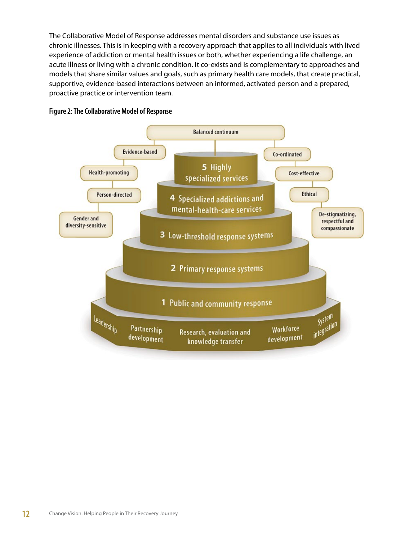The Collaborative Model of Response addresses mental disorders and substance use issues as chronic illnesses. This is in keeping with a recovery approach that applies to all individuals with lived experience of addiction or mental health issues or both, whether experiencing a life challenge, an acute illness or living with a chronic condition. It co-exists and is complementary to approaches and models that share similar values and goals, such as primary health care models, that create practical, supportive, evidence-based interactions between an informed, activated person and a prepared, proactive practice or intervention team.



#### **Figure 2: The Collaborative Model of Response**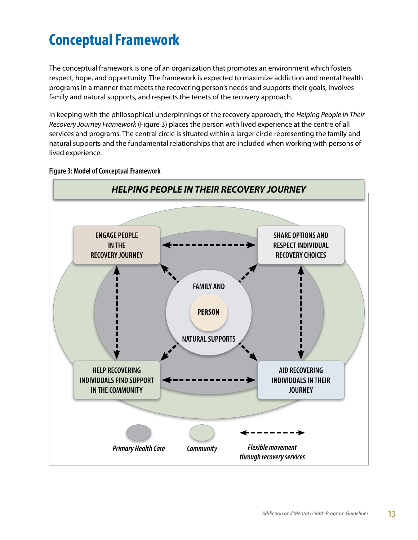## <span id="page-14-0"></span>**Conceptual Framework**

The conceptual framework is one of an organization that promotes an environment which fosters respect, hope, and opportunity. The framework is expected to maximize addiction and mental health programs in a manner that meets the recovering person's needs and supports their goals, involves family and natural supports, and respects the tenets of the recovery approach.

In keeping with the philosophical underpinnings of the recovery approach, the *Helping People in Their Recovery Journey Framework* (Figure 3) places the person with lived experience at the centre of all services and programs. The central circle is situated within a larger circle representing the family and natural supports and the fundamental relationships that are included when working with persons of lived experience.



#### **Figure 3: Model of Conceptual Framework**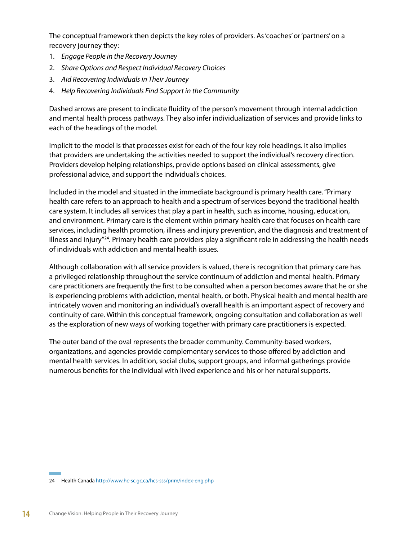The conceptual framework then depicts the key roles of providers. As 'coaches' or 'partners' on a recovery journey they:

- 1. *Engage People in the Recovery Journey*
- 2. *Share Options and Respect Individual Recovery Choices*
- 3. *Aid Recovering Individuals in Their Journey*
- 4. *Help Recovering Individuals Find Support in the Community*

Dashed arrows are present to indicate fluidity of the person's movement through internal addiction and mental health process pathways. They also infer individualization of services and provide links to each of the headings of the model.

Implicit to the model is that processes exist for each of the four key role headings. It also implies that providers are undertaking the activities needed to support the individual's recovery direction. Providers develop helping relationships, provide options based on clinical assessments, give professional advice, and support the individual's choices.

Included in the model and situated in the immediate background is primary health care. "Primary health care refers to an approach to health and a spectrum of services beyond the traditional health care system. It includes all services that play a part in health, such as income, housing, education, and environment. Primary care is the element within primary health care that focuses on health care services, including health promotion, illness and injury prevention, and the diagnosis and treatment of illness and injury"<sup>24</sup>. Primary health care providers play a significant role in addressing the health needs of individuals with addiction and mental health issues.

Although collaboration with all service providers is valued, there is recognition that primary care has a privileged relationship throughout the service continuum of addiction and mental health. Primary care practitioners are frequently the first to be consulted when a person becomes aware that he or she is experiencing problems with addiction, mental health, or both. Physical health and mental health are intricately woven and monitoring an individual's overall health is an important aspect of recovery and continuity of care. Within this conceptual framework, ongoing consultation and collaboration as well as the exploration of new ways of working together with primary care practitioners is expected.

The outer band of the oval represents the broader community. Community-based workers, organizations, and agencies provide complementary services to those offered by addiction and mental health services. In addition, social clubs, support groups, and informal gatherings provide numerous benefits for the individual with lived experience and his or her natural supports.

24 Health Canada <http://www.hc-sc.gc.ca/hcs-sss/prim/index-eng.php>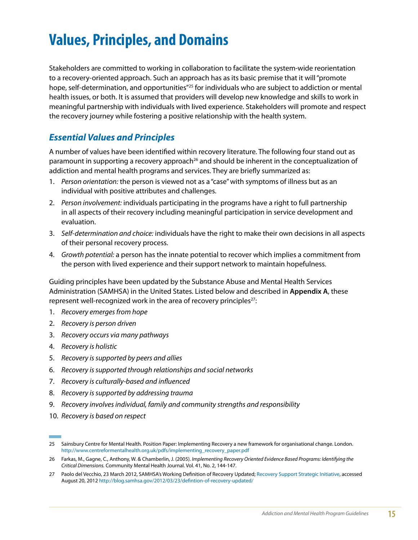## <span id="page-16-0"></span>**Values, Principles, and Domains**

Stakeholders are committed to working in collaboration to facilitate the system-wide reorientation to a recovery-oriented approach. Such an approach has as its basic premise that it will "promote hope, self-determination, and opportunities<sup>"25</sup> for individuals who are subject to addiction or mental health issues, or both. It is assumed that providers will develop new knowledge and skills to work in meaningful partnership with individuals with lived experience. Stakeholders will promote and respect the recovery journey while fostering a positive relationship with the health system.

#### *Essential Values and Principles*

A number of values have been identified within recovery literature. The following four stand out as paramount in supporting a recovery approach<sup>26</sup> and should be inherent in the conceptualization of addiction and mental health programs and services. They are briefly summarized as:

- 1. *Person orientation:* the person is viewed not as a "case" with symptoms of illness but as an individual with positive attributes and challenges.
- 2. *Person involvement:* individuals participating in the programs have a right to full partnership in all aspects of their recovery including meaningful participation in service development and evaluation.
- 3. *Self-determination and choice:* individuals have the right to make their own decisions in all aspects of their personal recovery process.
- 4. *Growth potential:* a person has the innate potential to recover which implies a commitment from the person with lived experience and their support network to maintain hopefulness.

Guiding principles have been updated by the Substance Abuse and Mental Health Services Administration (SAMHSA) in the United States. Listed below and described in **Appendix A**, these represent well-recognized work in the area of recovery principles $27$ :

- 1. *Recovery emerges from hope*
- 2. *Recovery is person driven*
- 3. *Recovery occurs via many pathways*
- 4. *Recovery is holistic*
- 5. *Recovery is supported by peers and allies*
- 6. *Recovery is supported through relationships and social networks*
- 7. *Recovery is culturally-based and influenced*
- 8. *Recovery is supported by addressing trauma*
- 9. *Recovery involves individual, family and community strengths and responsibility*
- 10. *Recovery is based on respect*

<sup>25</sup> Sainsbury Centre for Mental Health. Position Paper: Implementing Recovery a new framework for organisational change. London. [http://www.centreformentalhealth.org.uk/pdfs/implementing\\_recovery\\_paper.pdf](http://www.centreformentalhealth.org.uk/pdfs/implementing_recovery_paper.pdf)

<sup>26</sup> Farkas, M., Gagne, C., Anthony, W. & Chamberlin, J. (2005). *Implementing Recovery Oriented Evidence Based Programs: Identifying the Critical Dimensions.* Community Mental Health Journal. Vol. 41, No. 2, 144-147.

<sup>27</sup> Paolo del Vecchio, 23 March 2012, SAMHSA's Working Definition of Recovery Updated; [Recovery Support Strategic Initiative](http://www.samhsa.gov/recovery/), accessed August 20, 2012<http://blog.samhsa.gov/2012/03/23/defintion-of-recovery-updated/>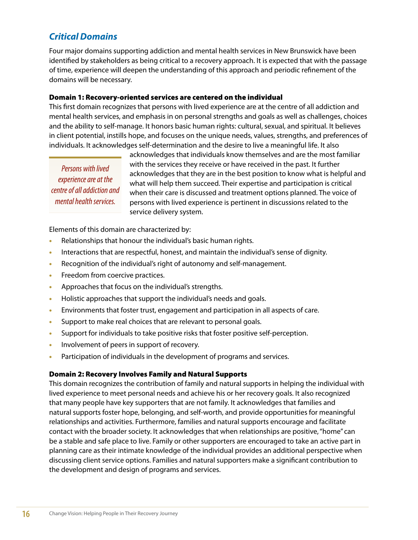### <span id="page-17-0"></span>*Critical Domains*

Four major domains supporting addiction and mental health services in New Brunswick have been identified by stakeholders as being critical to a recovery approach. It is expected that with the passage of time, experience will deepen the understanding of this approach and periodic refinement of the domains will be necessary.

#### Domain 1: Recovery-oriented services are centered on the individual

This first domain recognizes that persons with lived experience are at the centre of all addiction and mental health services, and emphasis in on personal strengths and goals as well as challenges, choices and the ability to self-manage. It honors basic human rights: cultural, sexual, and spiritual. It believes in client potential, instills hope, and focuses on the unique needs, values, strengths, and preferences of individuals. It acknowledges self-determination and the desire to live a meaningful life. It also

*Persons with lived experience are at the centre of all addiction and mental health services.*

acknowledges that individuals know themselves and are the most familiar with the services they receive or have received in the past. It further acknowledges that they are in the best position to know what is helpful and what will help them succeed. Their expertise and participation is critical when their care is discussed and treatment options planned. The voice of persons with lived experience is pertinent in discussions related to the service delivery system.

Elements of this domain are characterized by:

- Relationships that honour the individual's basic human rights.
- Interactions that are respectful, honest, and maintain the individual's sense of dignity.
- Recognition of the individual's right of autonomy and self-management.
- Freedom from coercive practices.
- Approaches that focus on the individual's strengths.
- Holistic approaches that support the individual's needs and goals.
- Environments that foster trust, engagement and participation in all aspects of care.
- Support to make real choices that are relevant to personal goals.
- Support for individuals to take positive risks that foster positive self-perception.
- Involvement of peers in support of recovery.
- Participation of individuals in the development of programs and services.

#### Domain 2: Recovery Involves Family and Natural Supports

This domain recognizes the contribution of family and natural supports in helping the individual with lived experience to meet personal needs and achieve his or her recovery goals. It also recognized that many people have key supporters that are not family. It acknowledges that families and natural supports foster hope, belonging, and self-worth, and provide opportunities for meaningful relationships and activities. Furthermore, families and natural supports encourage and facilitate contact with the broader society. It acknowledges that when relationships are positive, "home" can be a stable and safe place to live. Family or other supporters are encouraged to take an active part in planning care as their intimate knowledge of the individual provides an additional perspective when discussing client service options. Families and natural supporters make a significant contribution to the development and design of programs and services.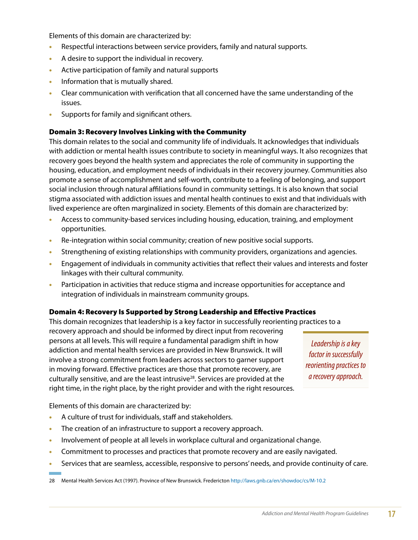<span id="page-18-0"></span>Elements of this domain are characterized by:

- Respectful interactions between service providers, family and natural supports.
- A desire to support the individual in recovery.
- Active participation of family and natural supports
- Information that is mutually shared.
- Clear communication with verification that all concerned have the same understanding of the issues.
- Supports for family and significant others.

#### Domain 3: Recovery Involves Linking with the Community

This domain relates to the social and community life of individuals. It acknowledges that individuals with addiction or mental health issues contribute to society in meaningful ways. It also recognizes that recovery goes beyond the health system and appreciates the role of community in supporting the housing, education, and employment needs of individuals in their recovery journey. Communities also promote a sense of accomplishment and self-worth, contribute to a feeling of belonging, and support social inclusion through natural affiliations found in community settings. It is also known that social stigma associated with addiction issues and mental health continues to exist and that individuals with lived experience are often marginalized in society. Elements of this domain are characterized by:

- Access to community-based services including housing, education, training, and employment opportunities.
- Re-integration within social community; creation of new positive social supports.
- Strengthening of existing relationships with community providers, organizations and agencies.
- Engagement of individuals in community activities that reflect their values and interests and foster linkages with their cultural community.
- Participation in activities that reduce stigma and increase opportunities for acceptance and integration of individuals in mainstream community groups.

#### Domain 4: Recovery Is Supported by Strong Leadership and Effective Practices

This domain recognizes that leadership is a key factor in successfully reorienting practices to a

recovery approach and should be informed by direct input from recovering persons at all levels. This will require a fundamental paradigm shift in how addiction and mental health services are provided in New Brunswick. It will involve a strong commitment from leaders across sectors to garner support in moving forward. Effective practices are those that promote recovery, are culturally sensitive, and are the least intrusive<sup>28</sup>. Services are provided at the right time, in the right place, by the right provider and with the right resources.

*Leadership is a key factor in successfully reorienting practices to a recovery approach.*

Elements of this domain are characterized by:

- A culture of trust for individuals, staff and stakeholders.
- The creation of an infrastructure to support a recovery approach.
- Involvement of people at all levels in workplace cultural and organizational change.
- Commitment to processes and practices that promote recovery and are easily navigated.
- Services that are seamless, accessible, responsive to persons' needs, and provide continuity of care.

28 Mental Health Services Act (1997). Province of New Brunswick. Fredericton<http://laws.gnb.ca/en/showdoc/cs/M-10.2>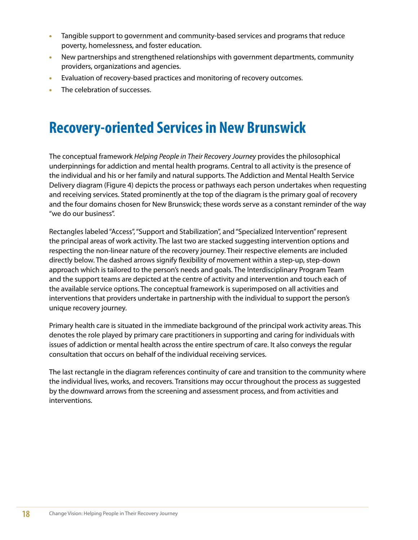- <span id="page-19-0"></span>• Tangible support to government and community-based services and programs that reduce poverty, homelessness, and foster education.
- New partnerships and strengthened relationships with government departments, community providers, organizations and agencies.
- Evaluation of recovery-based practices and monitoring of recovery outcomes.
- The celebration of successes.

## **Recovery-oriented Services in New Brunswick**

The conceptual framework *Helping People in Their Recovery Journey* provides the philosophical underpinnings for addiction and mental health programs. Central to all activity is the presence of the individual and his or her family and natural supports. The Addiction and Mental Health Service Delivery diagram (Figure 4) depicts the process or pathways each person undertakes when requesting and receiving services. Stated prominently at the top of the diagram is the primary goal of recovery and the four domains chosen for New Brunswick; these words serve as a constant reminder of the way "we do our business".

Rectangles labeled "Access", "Support and Stabilization", and "Specialized Intervention" represent the principal areas of work activity. The last two are stacked suggesting intervention options and respecting the non-linear nature of the recovery journey. Their respective elements are included directly below. The dashed arrows signify flexibility of movement within a step-up, step-down approach which is tailored to the person's needs and goals. The Interdisciplinary Program Team and the support teams are depicted at the centre of activity and intervention and touch each of the available service options. The conceptual framework is superimposed on all activities and interventions that providers undertake in partnership with the individual to support the person's unique recovery journey.

Primary health care is situated in the immediate background of the principal work activity areas. This denotes the role played by primary care practitioners in supporting and caring for individuals with issues of addiction or mental health across the entire spectrum of care. It also conveys the regular consultation that occurs on behalf of the individual receiving services.

The last rectangle in the diagram references continuity of care and transition to the community where the individual lives, works, and recovers. Transitions may occur throughout the process as suggested by the downward arrows from the screening and assessment process, and from activities and interventions.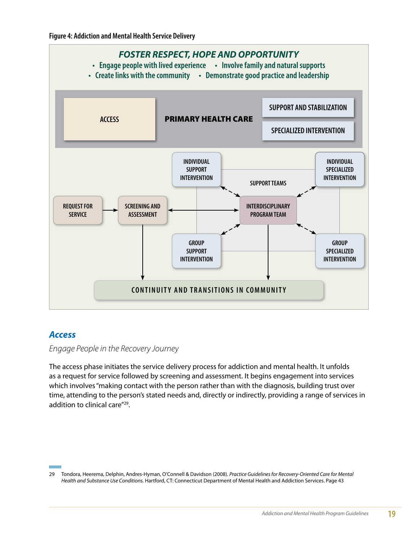<span id="page-20-0"></span>**Figure 4: Addiction and Mental Health Service Delivery**



### *Access*

*Engage People in the Recovery Journey*

The access phase initiates the service delivery process for addiction and mental health. It unfolds as a request for service followed by screening and assessment. It begins engagement into services which involves "making contact with the person rather than with the diagnosis, building trust over time, attending to the person's stated needs and, directly or indirectly, providing a range of services in addition to clinical care"29.

<sup>29</sup> Tondora, Heerema, Delphin, Andres-Hyman, O'Connell & Davidson (2008). *Practice Guidelines for Recovery-Oriented Care for Mental Health and Substance Use Conditions.* Hartford, CT: Connecticut Department of Mental Health and Addiction Services. Page 43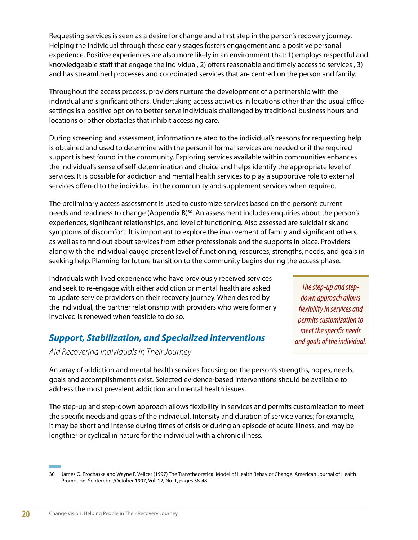<span id="page-21-0"></span>Requesting services is seen as a desire for change and a first step in the person's recovery journey. Helping the individual through these early stages fosters engagement and a positive personal experience. Positive experiences are also more likely in an environment that: 1) employs respectful and knowledgeable staff that engage the individual, 2) offers reasonable and timely access to services , 3) and has streamlined processes and coordinated services that are centred on the person and family.

Throughout the access process, providers nurture the development of a partnership with the individual and significant others. Undertaking access activities in locations other than the usual office settings is a positive option to better serve individuals challenged by traditional business hours and locations or other obstacles that inhibit accessing care.

During screening and assessment, information related to the individual's reasons for requesting help is obtained and used to determine with the person if formal services are needed or if the required support is best found in the community. Exploring services available within communities enhances the individual's sense of self-determination and choice and helps identify the appropriate level of services. It is possible for addiction and mental health services to play a supportive role to external services offered to the individual in the community and supplement services when required.

The preliminary access assessment is used to customize services based on the person's current needs and readiness to change (Appendix B)<sup>30</sup>. An assessment includes enquiries about the person's experiences, significant relationships, and level of functioning. Also assessed are suicidal risk and symptoms of discomfort. It is important to explore the involvement of family and significant others, as well as to find out about services from other professionals and the supports in place. Providers along with the individual gauge present level of functioning, resources, strengths, needs, and goals in seeking help. Planning for future transition to the community begins during the access phase.

Individuals with lived experience who have previously received services and seek to re-engage with either addiction or mental health are asked to update service providers on their recovery journey. When desired by the individual, the partner relationship with providers who were formerly involved is renewed when feasible to do so.

### *Support, Stabilization, and Specialized Interventions*

*Aid Recovering Individuals in Their Journey*

*The step-up and stepdown approach allows flexibility in services and permits customization to meet the specific needs and goals of the individual.*

An array of addiction and mental health services focusing on the person's strengths, hopes, needs, goals and accomplishments exist. Selected evidence-based interventions should be available to address the most prevalent addiction and mental health issues.

The step-up and step-down approach allows flexibility in services and permits customization to meet the specific needs and goals of the individual. Intensity and duration of service varies; for example, it may be short and intense during times of crisis or during an episode of acute illness, and may be lengthier or cyclical in nature for the individual with a chronic illness.

<sup>30</sup> James O. Prochaska and Wayne F. Velicer (1997) The Transtheoretical Model of Health Behavior Change. American Journal of Health Promotion: September/October 1997, Vol. 12, No. 1, pages 38-48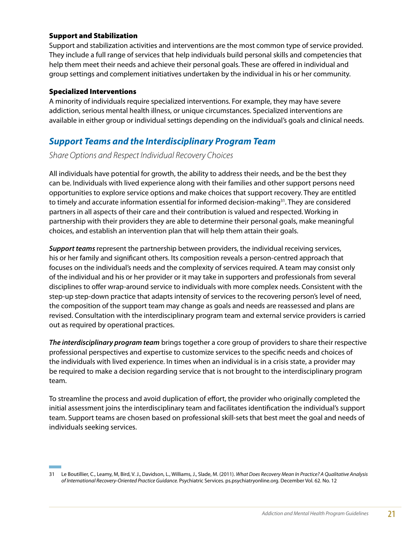#### <span id="page-22-0"></span>Support and Stabilization

Support and stabilization activities and interventions are the most common type of service provided. They include a full range of services that help individuals build personal skills and competencies that help them meet their needs and achieve their personal goals. These are offered in individual and group settings and complement initiatives undertaken by the individual in his or her community.

#### Specialized Interventions

A minority of individuals require specialized interventions. For example, they may have severe addiction, serious mental health illness, or unique circumstances. Specialized interventions are available in either group or individual settings depending on the individual's goals and clinical needs.

### *Support Teams and the Interdisciplinary Program Team*

#### *Share Options and Respect Individual Recovery Choices*

All individuals have potential for growth, the ability to address their needs, and be the best they can be. Individuals with lived experience along with their families and other support persons need opportunities to explore service options and make choices that support recovery. They are entitled to timely and accurate information essential for informed decision-making<sup>31</sup>. They are considered partners in all aspects of their care and their contribution is valued and respected. Working in partnership with their providers they are able to determine their personal goals, make meaningful choices, and establish an intervention plan that will help them attain their goals.

*Support teams* represent the partnership between providers, the individual receiving services, his or her family and significant others. Its composition reveals a person-centred approach that focuses on the individual's needs and the complexity of services required. A team may consist only of the individual and his or her provider or it may take in supporters and professionals from several disciplines to offer wrap-around service to individuals with more complex needs. Consistent with the step-up step-down practice that adapts intensity of services to the recovering person's level of need, the composition of the support team may change as goals and needs are reassessed and plans are revised. Consultation with the interdisciplinary program team and external service providers is carried out as required by operational practices.

*The interdisciplinary program team* brings together a core group of providers to share their respective professional perspectives and expertise to customize services to the specific needs and choices of the individuals with lived experience. In times when an individual is in a crisis state, a provider may be required to make a decision regarding service that is not brought to the interdisciplinary program team.

To streamline the process and avoid duplication of effort, the provider who originally completed the initial assessment joins the interdisciplinary team and facilitates identification the individual's support team. Support teams are chosen based on professional skill-sets that best meet the goal and needs of individuals seeking services.

<sup>31</sup> Le Boutillier, C., Leamy, M, Bird, V. J., Davidson, L., Williams, J., Slade, M. (2011). *What Does Recovery Mean In Practice? A Qualitative Analysis of International Recovery-Oriented Practice Guidance.* Psychiatric Services. ps.psychiatryonline.org. December Vol. 62. No. 12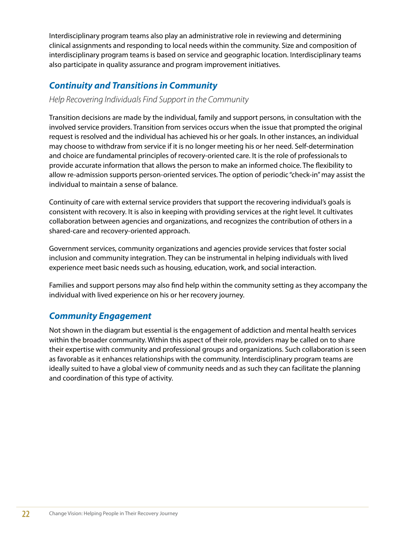<span id="page-23-0"></span>Interdisciplinary program teams also play an administrative role in reviewing and determining clinical assignments and responding to local needs within the community. Size and composition of interdisciplinary program teams is based on service and geographic location. Interdisciplinary teams also participate in quality assurance and program improvement initiatives.

### *Continuity and Transitions in Community*

*Help Recovering Individuals Find Support in the Community*

Transition decisions are made by the individual, family and support persons, in consultation with the involved service providers. Transition from services occurs when the issue that prompted the original request is resolved and the individual has achieved his or her goals. In other instances, an individual may choose to withdraw from service if it is no longer meeting his or her need. Self-determination and choice are fundamental principles of recovery-oriented care. It is the role of professionals to provide accurate information that allows the person to make an informed choice. The flexibility to allow re-admission supports person-oriented services. The option of periodic "check-in" may assist the individual to maintain a sense of balance.

Continuity of care with external service providers that support the recovering individual's goals is consistent with recovery. It is also in keeping with providing services at the right level. It cultivates collaboration between agencies and organizations, and recognizes the contribution of others in a shared-care and recovery-oriented approach.

Government services, community organizations and agencies provide services that foster social inclusion and community integration. They can be instrumental in helping individuals with lived experience meet basic needs such as housing, education, work, and social interaction.

Families and support persons may also find help within the community setting as they accompany the individual with lived experience on his or her recovery journey.

### *Community Engagement*

Not shown in the diagram but essential is the engagement of addiction and mental health services within the broader community. Within this aspect of their role, providers may be called on to share their expertise with community and professional groups and organizations. Such collaboration is seen as favorable as it enhances relationships with the community. Interdisciplinary program teams are ideally suited to have a global view of community needs and as such they can facilitate the planning and coordination of this type of activity.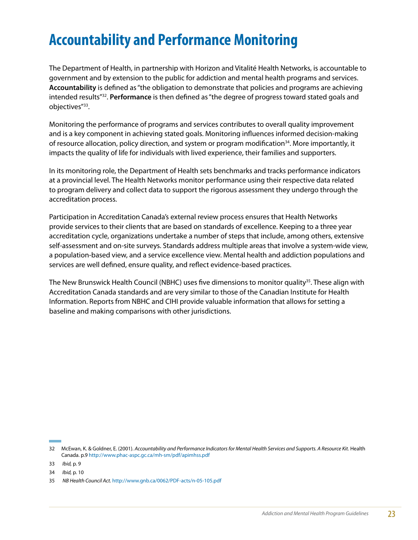## <span id="page-24-0"></span>**Accountability and Performance Monitoring**

The Department of Health, in partnership with Horizon and Vitalité Health Networks, is accountable to government and by extension to the public for addiction and mental health programs and services. **Accountability** is defined as "the obligation to demonstrate that policies and programs are achieving intended results"32. **Performance** is then defined as "the degree of progress toward stated goals and objectives"33.

Monitoring the performance of programs and services contributes to overall quality improvement and is a key component in achieving stated goals. Monitoring influences informed decision-making of resource allocation, policy direction, and system or program modification<sup>34</sup>. More importantly, it impacts the quality of life for individuals with lived experience, their families and supporters.

In its monitoring role, the Department of Health sets benchmarks and tracks performance indicators at a provincial level. The Health Networks monitor performance using their respective data related to program delivery and collect data to support the rigorous assessment they undergo through the accreditation process.

Participation in Accreditation Canada's external review process ensures that Health Networks provide services to their clients that are based on standards of excellence. Keeping to a three year accreditation cycle, organizations undertake a number of steps that include, among others, extensive self-assessment and on-site surveys. Standards address multiple areas that involve a system-wide view, a population-based view, and a service excellence view. Mental health and addiction populations and services are well defined, ensure quality, and reflect evidence-based practices.

The New Brunswick Health Council (NBHC) uses five dimensions to monitor quality<sup>35</sup>. These align with Accreditation Canada standards and are very similar to those of the Canadian Institute for Health Information. Reports from NBHC and CIHI provide valuable information that allows for setting a baseline and making comparisons with other jurisdictions.

<sup>32</sup> McEwan, K. & Goldner, E. (2001). *Accountability and Performance Indicators for Mental Health Services and Supports. A Resource Kit.* Health Canada. p.9<http://www.phac-aspc.gc.ca/mh-sm/pdf/apimhss.pdf>

<sup>33</sup> *Ibid,* p. 9

<sup>34</sup> *Ibid,* p. 10

<sup>35</sup> *NB Health Council Act.* <http://www.gnb.ca/0062/PDF-acts/n-05-105.pdf>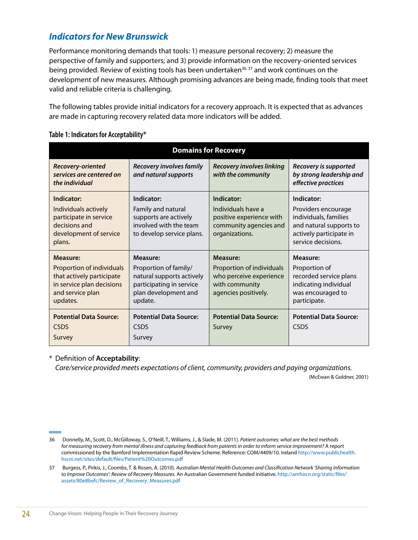### <span id="page-25-0"></span>*Indicators for New Brunswick*

Performance monitoring demands that tools: 1) measure personal recovery; 2) measure the perspective of family and supporters; and 3) provide information on the recovery-oriented services being provided. Review of existing tools has been undertaken<sup>36, 37</sup> and work continues on the development of new measures. Although promising advances are being made, finding tools that meet valid and reliable criteria is challenging.

The following tables provide initial indicators for a recovery approach. It is expected that as advances are made in capturing recovery related data more indicators will be added.

| <b>Domains for Recovery</b>                                                                                                            |                                                                                                                               |                                                                                                            |                                                                                                                                        |
|----------------------------------------------------------------------------------------------------------------------------------------|-------------------------------------------------------------------------------------------------------------------------------|------------------------------------------------------------------------------------------------------------|----------------------------------------------------------------------------------------------------------------------------------------|
| <b>Recovery-oriented</b><br>services are centered on<br>the individual                                                                 | <b>Recovery involves family</b><br>and natural supports                                                                       | <b>Recovery involves linking</b><br>with the community                                                     | Recovery is supported<br>by strong leadership and<br>effective practices                                                               |
| Indicator:<br>Individuals actively<br>participate in service<br>decisions and<br>development of service<br>plans.                      | Indicator:<br>Family and natural<br>supports are actively<br>involved with the team<br>to develop service plans.              | Indicator:<br>Individuals have a<br>positive experience with<br>community agencies and<br>organizations.   | Indicator:<br>Providers encourage<br>individuals, families<br>and natural supports to<br>actively participate in<br>service decisions. |
| <b>Measure:</b><br>Proportion of individuals<br>that actively participate<br>in service plan decisions<br>and service plan<br>updates. | Measure:<br>Proportion of family/<br>natural supports actively<br>participating in service<br>plan development and<br>update. | Measure:<br>Proportion of individuals<br>who perceive experience<br>with community<br>agencies positively. | <b>Measure:</b><br>Proportion of<br>recorded service plans<br>indicating individual<br>was encouraged to<br>participate.               |
| <b>Potential Data Source:</b><br><b>CSDS</b><br>Survey                                                                                 | <b>Potential Data Source:</b><br>CSDS<br>Survey                                                                               | <b>Potential Data Source:</b><br>Survey                                                                    | <b>Potential Data Source:</b><br><b>CSDS</b>                                                                                           |

#### **Table 1: Indicators for Acceptability\***

#### \* Definition of **Acceptability**:

*Care/service provided meets expectations of client, community, providers and paying organizations.*

<sup>36</sup> Donnelly, M., Scott, D., McGilloway, S., O'Neill, T., Williams, J., & Slade, M. (2011). *Patient outcomes: what are the best methods for measuring recovery from mental illness and capturing feedback from patients in order to inform service improvement?* A report commissioned by the Bamford Implementation Rapid Review Scheme. Reference: COM/4409/10. Ireland [http://www.publichealth.](http://www.publichealth.hscni.net/sites/default/files/Patient Outcomes.pdf) [hscni.net/sites/default/files/Patient%20Outcomes.pdf](http://www.publichealth.hscni.net/sites/default/files/Patient Outcomes.pdf)

<sup>37</sup> Burgess, P., Pirkis, J., Coombs, T. & Rosen, A. (2010). *Australian Mental Health Outcomes and Classification Network 'Sharing Information to Improve Outcomes': Review of Recovery Measures.* An Australian Government funded initiative. [http://amhocn.org/static/files/](http://amhocn.org/static/files/assets/80e8befc/Review_of_Recovery_Measures.pdf) [assets/80e8befc/Review\\_of\\_Recovery\\_Measures.pdf](http://amhocn.org/static/files/assets/80e8befc/Review_of_Recovery_Measures.pdf)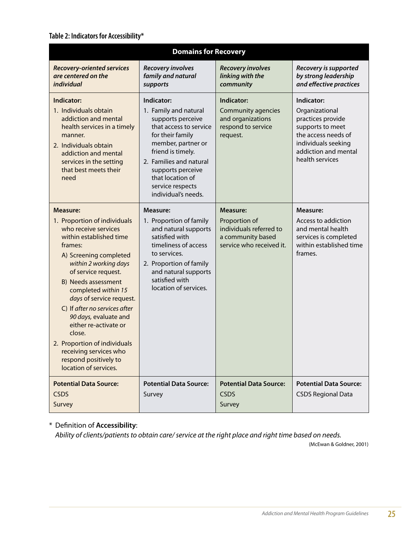#### **Table 2: Indicators for Accessibility\***

| <b>Domains for Recovery</b>                                                                                                                                                                                                                                                                                                                                                                                                                                         |                                                                                                                                                                                                                                                                  |                                                                                                       |                                                                                                                                                                |
|---------------------------------------------------------------------------------------------------------------------------------------------------------------------------------------------------------------------------------------------------------------------------------------------------------------------------------------------------------------------------------------------------------------------------------------------------------------------|------------------------------------------------------------------------------------------------------------------------------------------------------------------------------------------------------------------------------------------------------------------|-------------------------------------------------------------------------------------------------------|----------------------------------------------------------------------------------------------------------------------------------------------------------------|
| <b>Recovery-oriented services</b><br>are centered on the<br><i>individual</i>                                                                                                                                                                                                                                                                                                                                                                                       | <b>Recovery involves</b><br>family and natural<br>supports                                                                                                                                                                                                       | <b>Recovery involves</b><br>linking with the<br>community                                             | Recovery is supported<br>by strong leadership<br>and effective practices                                                                                       |
| Indicator:<br>1. Individuals obtain<br>addiction and mental<br>health services in a timely<br>manner.<br>2. Individuals obtain<br>addiction and mental<br>services in the setting<br>that best meets their<br>need                                                                                                                                                                                                                                                  | Indicator:<br>1. Family and natural<br>supports perceive<br>that access to service<br>for their family<br>member, partner or<br>friend is timely.<br>2. Families and natural<br>supports perceive<br>that location of<br>service respects<br>individual's needs. | Indicator:<br><b>Community agencies</b><br>and organizations<br>respond to service<br>request.        | Indicator:<br>Organizational<br>practices provide<br>supports to meet<br>the access needs of<br>individuals seeking<br>addiction and mental<br>health services |
| Measure:<br>1. Proportion of individuals<br>who receive services<br>within established time<br>frames:<br>A) Screening completed<br>within 2 working days<br>of service request.<br>B) Needs assessment<br>completed within 15<br>days of service request.<br>C) If after no services after<br>90 days, evaluate and<br>either re-activate or<br>close.<br>2. Proportion of individuals<br>receiving services who<br>respond positively to<br>location of services. | Measure:<br>1. Proportion of family<br>and natural supports<br>satisfied with<br>timeliness of access<br>to services.<br>2. Proportion of family<br>and natural supports<br>satisfied with<br>location of services.                                              | Measure:<br>Proportion of<br>individuals referred to<br>a community based<br>service who received it. | Measure:<br>Access to addiction<br>and mental health<br>services is completed<br>within established time<br>frames.                                            |
| <b>Potential Data Source:</b><br><b>CSDS</b><br>Survey                                                                                                                                                                                                                                                                                                                                                                                                              | <b>Potential Data Source:</b><br>Survey                                                                                                                                                                                                                          | <b>Potential Data Source:</b><br><b>CSDS</b><br>Survey                                                | <b>Potential Data Source:</b><br><b>CSDS Regional Data</b>                                                                                                     |

### \* Definition of **Accessibility**:

*Ability of clients/patients to obtain care/ service at the right place and right time based on needs.*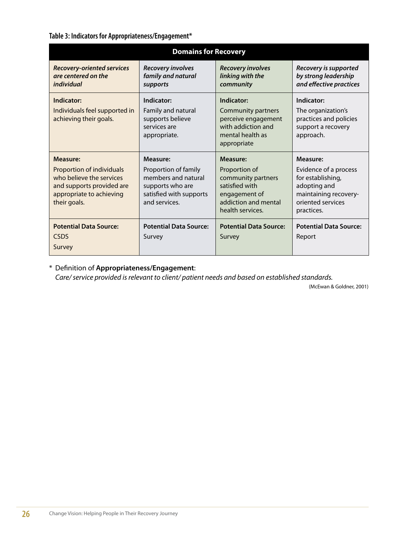**Table 3: Indicators for Appropriateness/Engagement\***

| <b>Domains for Recovery</b>                                                                                                                       |                                                                                                                                |                                                                                                                                       |                                                                                                                                    |
|---------------------------------------------------------------------------------------------------------------------------------------------------|--------------------------------------------------------------------------------------------------------------------------------|---------------------------------------------------------------------------------------------------------------------------------------|------------------------------------------------------------------------------------------------------------------------------------|
| <b>Recovery-oriented services</b><br>are centered on the<br>individual                                                                            | <b>Recovery involves</b><br>family and natural<br>supports                                                                     | <b>Recovery involves</b><br>linking with the<br>community                                                                             | <b>Recovery is supported</b><br>by strong leadership<br>and effective practices                                                    |
| Indicator:<br>Individuals feel supported in<br>achieving their goals.                                                                             | Indicator:<br>Family and natural<br>supports believe<br>services are<br>appropriate.                                           | Indicator:<br><b>Community partners</b><br>perceive engagement<br>with addiction and<br>mental health as<br>appropriate               | Indicator:<br>The organization's<br>practices and policies<br>support a recovery<br>approach.                                      |
| <b>Measure:</b><br>Proportion of individuals<br>who believe the services<br>and supports provided are<br>appropriate to achieving<br>their goals. | <b>Measure:</b><br>Proportion of family<br>members and natural<br>supports who are<br>satisfied with supports<br>and services. | <b>Measure:</b><br>Proportion of<br>community partners<br>satisfied with<br>engagement of<br>addiction and mental<br>health services. | Measure:<br>Evidence of a process<br>for establishing,<br>adopting and<br>maintaining recovery-<br>oriented services<br>practices. |
| <b>Potential Data Source:</b><br><b>CSDS</b><br>Survey                                                                                            | <b>Potential Data Source:</b><br>Survey                                                                                        | <b>Potential Data Source:</b><br>Survey                                                                                               | <b>Potential Data Source:</b><br>Report                                                                                            |

#### \* Definition of **Appropriateness/Engagement**:

*Care/ service provided is relevant to client/ patient needs and based on established standards.*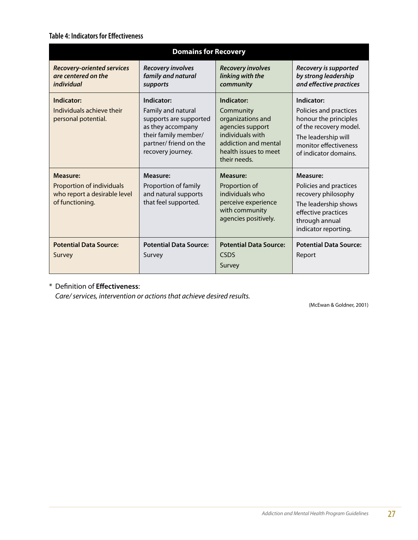#### **Table 4: Indicators for Effectiveness**

| <b>Domains for Recovery</b>                                                                            |                                                                                                                                                        |                                                                                                                                                       |                                                                                                                                                                  |
|--------------------------------------------------------------------------------------------------------|--------------------------------------------------------------------------------------------------------------------------------------------------------|-------------------------------------------------------------------------------------------------------------------------------------------------------|------------------------------------------------------------------------------------------------------------------------------------------------------------------|
| <b>Recovery-oriented services</b><br>are centered on the<br>individual                                 | <b>Recovery involves</b><br>family and natural<br>supports                                                                                             | <b>Recovery involves</b><br>linking with the<br>community                                                                                             | Recovery is supported<br>by strong leadership<br>and effective practices                                                                                         |
| Indicator:<br>Individuals achieve their<br>personal potential.                                         | Indicator:<br>Family and natural<br>supports are supported<br>as they accompany<br>their family member/<br>partner/ friend on the<br>recovery journey. | Indicator:<br>Community<br>organizations and<br>agencies support<br>individuals with<br>addiction and mental<br>health issues to meet<br>their needs. | Indicator:<br>Policies and practices<br>honour the principles<br>of the recovery model.<br>The leadership will<br>monitor effectiveness<br>of indicator domains. |
| <b>Measure:</b><br><b>Proportion of individuals</b><br>who report a desirable level<br>of functioning. | <b>Measure:</b><br>Proportion of family<br>and natural supports<br>that feel supported.                                                                | <b>Measure:</b><br>Proportion of<br>individuals who<br>perceive experience<br>with community<br>agencies positively.                                  | Measure:<br>Policies and practices<br>recovery philosophy<br>The leadership shows<br>effective practices<br>through annual<br>indicator reporting.               |
| <b>Potential Data Source:</b><br>Survey                                                                | <b>Potential Data Source:</b><br>Survey                                                                                                                | <b>Potential Data Source:</b><br><b>CSDS</b><br>Survey                                                                                                | <b>Potential Data Source:</b><br>Report                                                                                                                          |

\* Definition of **Effectiveness**:

*Care/ services, intervention or actions that achieve desired results.*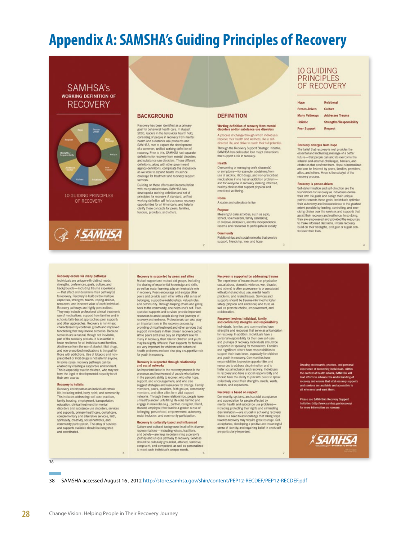## <span id="page-29-0"></span>**Appendix A: SAMSHA's Guiding Principles of Recovery**

#### SAMHSA's **WORKING DEFINITION OF RECOVERY**



10 GUIDING PRINCIPLES OF RECOVERY



#### **BACKGROUND**

Recovery has been identified as a primary<br>goal for behavioral health care. In August<br>2010, leaders in the behavioral health field, consisting of people in recovery from mental health and substance use problems and nearn and substance use processes and<br>SAMHSA, met to explore the development<br>of a common, unified working definition of<br>recovery. Prior to this, SAMHSA had separate<br>definitions for necovery from mental disorders<br>and substa and substance use decorats. These directed<br>definitions, along with other government<br>agency definitions, complicate the discussion<br>as we work to expand health insurance<br>coverage for treatment and recovery support<br>services.

Building on these efforts and in consultation<br>with many stakeholders, SAMHSA has<br>developed a working definition and set of beweeper a working vertice in the principles for recovery. A standard, unified<br>working definition will help advance recovery<br>opportunities for all Americans, and help to<br>poprtunities for all Americans, families,<br>funders, p

### **DEFINITION**

#### Working definition of recovery from mental<br>disorders and/or substance use disorders

 $A process of change through which individuals improve their health and wellness, live a self-diecked like, and strive to reach their full potential.$ Through the Recovery Support Strategic Initiative, SAMHSA has defineated four major dimensions that support a life in recovery:

#### Health

Overcoming or managing one's disease(s) Overcoming or managing cores a dealered<br>as or symptoms—for example, abstaining from<br>trae of aboths), likelt drugs, and non-prescribed<br>modicalcers if one has an addiction problem—<br>and for everyone in recovery, making inform

#### Home

 $\bar{z}$ 

A stable and safe place to live

#### Purpose Meaningful daily activities, such as a job, school, volunteerism, family caretaking, or creative endeavors, and the independence. income and resources to participate in society

Community<br>Relationships and social networks that provide support, friendship, love, and hope

 $\ensuremath{\mathfrak{Z}}$ 

#### **10 GUIDING PRINCIPLES** OF RECOVERY

| œ            | Relational               |
|--------------|--------------------------|
| rson-Driven  | Culture                  |
| iny Pathways | <b>Addresses Trauma</b>  |
| distic       | Strengths/Responsibility |
| er Support   | <b>Respect</b>           |
|              |                          |

#### Recovery emerges from hope

Pa M.

H

Pe

The belief that recovery is real provides the<br>essential and motivating message of a better<br>future-that people can and do overcome the internal and external challenges, barriers, and<br>obstacles that confront them. Hope is internalized<br>and can be fostered by peers, families, providers,<br>allies, and others. Hope is the catalyst of the recovery process

#### Recovery is person-driven

Self-determination and self-direction are the<br>foundations for recovery as individuals define<br>their own life goals and design their unique<br>path(s) towards those goals. Individuals optimize their autonomy and independence to the greatest the autonomy and magnetasce to the gearest<br>extern possible by leading, controlling, and exercising choice over the services and supports that<br>assist their recovery and resilence. In so doing,<br>they are ampowered and provide trol over their lives

 $\overline{4}$ 

#### Recovery occurs via many pathways

necessive counts we many permission of the strengths, preferences, goals, culture, and<br>strengths, preferences, goals, culture, and<br>backgrounds — including trauma experience<br>— that affect and determine their pathway(s) use or measurements, support more simplers as<br>increased approaches peer support; and other approaches. Recovery is non-linear,<br>characterized by contrinual growth and improved<br>functioning that may have settled best function Abstinence from the use of alcohol, illicit drugs and non-prescribed medications is the goal for<br>those with addictions. Use of tobacco and non-prescribed or illicit drugs is not safe for anyone.<br>In some cases, recovery pathways can be in some cases, recovery pairways can be<br>enabled by creating a supportive environment.<br>This is especially true for children, who may not<br>tave the legal or developmental capacity to set<br>their own course.

#### **Recovery is holistic**

Recovery is notlistic<br>
encompasses an individual's whole<br>
Recovery encompasses an individual's whole<br>
Me, including mind, body spirit, and community<br>
This includes addressing: est-care practices,<br>
disorders<br>
education, cli community participation. The array of services and supports available should be integrated<br>and coordinated.

#### Recovery is supported by peers and allies

Recovery is supported by peers and allies.<br>
Mutual support and mutual aid groups, including<br>
Un straining characteristic level of our straining characteristic<br>
as well as social searing, play an invaluable role<br>
in recover operation supports and success provide important<br>resources to assist people along their journeys of<br>recovery and wellness. Professionals can also play<br>an important role in the recovery process by<br>positive providing clinica may be slightly different. Peer supports for families are very important for children with behavioral<br>health problems and can also play a supportive role<br>for youth in recovery.

#### Recovery is supported through relationship<br>and social networks

An important factor in the recovery process is the An important factor in the recovery process is the<br>presence and involvement of people who believe<br>in the person's ability to recover, who offer hope,<br>support, and encouragement, and who also<br>suggest stateled is according t engage in new roles (e.g., partner, caregiver, friend,<br>student, employee) that lead to a greater sense of<br>belonging, personhood, empowerment, autonomy,<br>social inclusion, and community participation.

#### Recovery is culturally-based and influenced Follower and cultural background in all of its diverse<br>representations-including values, traditions,<br>and beliefs-are keys in determining a person's journey and unique pathway to recovery. Services should be culturally grounded, attuned, sensitive, congruent, and competent, as well as personalized<br>to meet each individual's unique needs.  $6\overline{6}$

#### Recovery is supported by addressing trauma

The experience of trauma (such as physical or<br>sozual abuse, domastic violence, war, disaster,<br>and others) is often a precursor to or associated and others) is often a precursor to or associate<br>with alcohol and drug use, mental health<br>problems, and related issues. Services and<br>supports should be trauma-informed to fother<br>safety (physical and emotional) and trust, a

#### Recovery involves individual, family,<br>and community strengths and responent **sibility**

Individuals, families, and communities have Individuals, Tamilles, and communities have<br>strengths and resources that serie is a foundation<br>personal responsibility for their own self-care<br>personal responsibility for their own self-care<br>and journeys of recovery, Indiv and significant orders investigated the special of the children<br>and youth in recovey. Communities have<br>and youth in recovey. Communities have<br>responsibilities to provide opportunities and<br>resources to address discriminatio in recovery also have a social responsibility and should have the ability to join with peers to speak<br>collectively about their strengths, needs, wants, desires, and aspirations

#### Recovery is based on respect

Recovery is based on respect<br>conductival acceptance conduction spheres and appreciation for people affected by<br>and appreciation for people affected by<br>mental heart and substance use problems—<br>including protecting their rig sense of identity, and regaining belief in one's self<br>are particularly important.

 $\overline{1}$ 

Drawing on research, practice, and personal<br>experience of recovering individuals, within<br>the context of health reform, SAMHSA will lead efforts to advance the understanding of<br>recovery and ensure that vital recovery support<br>and services are available and accessible to<br>all who need and want them.

Picase see SAMHSA's Recovery Support<br>Initiative (http://www.samhsa.gov/recover<br>for more information on recovery.



38

38 SAMSHA accessed August 16 , 2012 [http://store.samhsa.gov/shin/content/PEP12-RECDEF/PEP12-RECDEF.pdf](http://store.samhsa.gov/shin/content/PEP12-RECDEF/PEP12-RECDEF.pdf   
accessed August 16)

 $\overline{5}$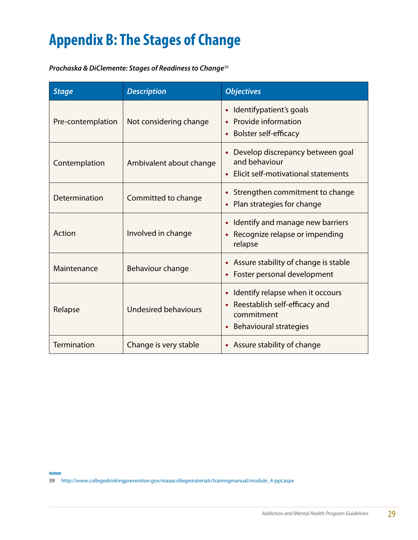## <span id="page-30-0"></span>**Appendix B: The Stages of Change**

*Prochaska & DiClemente: Stages of Readiness to Change*<sup>39</sup>

| <b>Stage</b>      | <b>Description</b>          | <b>Objectives</b>                                                                                                                                |
|-------------------|-----------------------------|--------------------------------------------------------------------------------------------------------------------------------------------------|
| Pre-contemplation | Not considering change      | Identifypatient's goals<br>$\bullet$<br>Provide information<br><b>Bolster self-efficacy</b><br>$\bullet$                                         |
| Contemplation     | Ambivalent about change     | Develop discrepancy between goal<br>$\bullet$<br>and behaviour<br>Elicit self-motivational statements                                            |
| Determination     | Committed to change         | Strengthen commitment to change<br>$\bullet$<br>Plan strategies for change                                                                       |
| Action            | Involved in change          | Identify and manage new barriers<br>Recognize relapse or impending<br>Ċ<br>relapse                                                               |
| Maintenance       | Behaviour change            | Assure stability of change is stable<br>$\bullet$<br>Foster personal development                                                                 |
| Relapse           | <b>Undesired behaviours</b> | Identify relapse when it occours<br>$\bullet$<br>Reestablish self-efficacy and<br>$\bullet$<br>commitment<br>Behavioural strategies<br>$\bullet$ |
| Termination       | Change is very stable       | Assure stability of change<br>$\bullet$                                                                                                          |

39 [http://www.collegedrinkingprevention.gov/niaaacollegematerials/trainingmanual/module\\_4-ppt.aspx](http://www.collegedrinkingprevention.gov/niaaacollegematerials/trainingmanual/module_4-ppt.aspx)